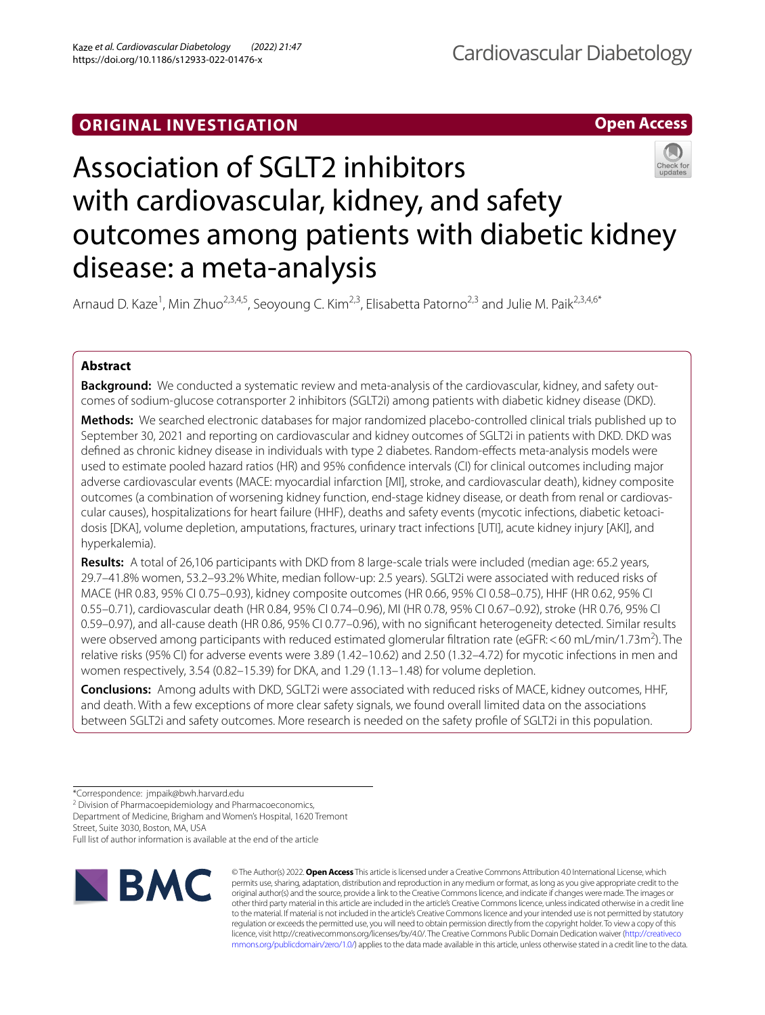## **ORIGINAL INVESTIGATION**



# Association of SGLT2 inhibitors with cardiovascular, kidney, and safety outcomes among patients with diabetic kidney disease: a meta-analysis

Arnaud D. Kaze<sup>1</sup>, Min Zhuo<sup>2,3,4,5</sup>, Seoyoung C. Kim<sup>2,3</sup>, Elisabetta Patorno<sup>2,3</sup> and Julie M. Paik<sup>2,3,4,6\*</sup>

## **Abstract**

**Background:** We conducted a systematic review and meta-analysis of the cardiovascular, kidney, and safety outcomes of sodium-glucose cotransporter 2 inhibitors (SGLT2i) among patients with diabetic kidney disease (DKD).

**Methods:** We searched electronic databases for major randomized placebo-controlled clinical trials published up to September 30, 2021 and reporting on cardiovascular and kidney outcomes of SGLT2i in patients with DKD. DKD was defned as chronic kidney disease in individuals with type 2 diabetes. Random-efects meta-analysis models were used to estimate pooled hazard ratios (HR) and 95% confdence intervals (CI) for clinical outcomes including major adverse cardiovascular events (MACE: myocardial infarction [MI], stroke, and cardiovascular death), kidney composite outcomes (a combination of worsening kidney function, end-stage kidney disease, or death from renal or cardiovascular causes), hospitalizations for heart failure (HHF), deaths and safety events (mycotic infections, diabetic ketoacidosis [DKA], volume depletion, amputations, fractures, urinary tract infections [UTI], acute kidney injury [AKI], and hyperkalemia).

**Results:** A total of 26,106 participants with DKD from 8 large-scale trials were included (median age: 65.2 years, 29.7–41.8% women, 53.2–93.2% White, median follow-up: 2.5 years). SGLT2i were associated with reduced risks of MACE (HR 0.83, 95% CI 0.75–0.93), kidney composite outcomes (HR 0.66, 95% CI 0.58–0.75), HHF (HR 0.62, 95% CI 0.55–0.71), cardiovascular death (HR 0.84, 95% CI 0.74–0.96), MI (HR 0.78, 95% CI 0.67–0.92), stroke (HR 0.76, 95% CI 0.59–0.97), and all-cause death (HR 0.86, 95% CI 0.77–0.96), with no signifcant heterogeneity detected. Similar results were observed among participants with reduced estimated glomerular filtration rate (eGFR:<60 mL/min/1.73m<sup>2</sup>). The relative risks (95% CI) for adverse events were 3.89 (1.42–10.62) and 2.50 (1.32–4.72) for mycotic infections in men and women respectively, 3.54 (0.82–15.39) for DKA, and 1.29 (1.13–1.48) for volume depletion.

**Conclusions:** Among adults with DKD, SGLT2i were associated with reduced risks of MACE, kidney outcomes, HHF, and death. With a few exceptions of more clear safety signals, we found overall limited data on the associations between SGLT2i and safety outcomes. More research is needed on the safety profle of SGLT2i in this population.

<sup>2</sup> Division of Pharmacoepidemiology and Pharmacoeconomics,

Department of Medicine, Brigham and Women's Hospital, 1620 Tremont Street, Suite 3030, Boston, MA, USA

Full list of author information is available at the end of the article



© The Author(s) 2022. **Open Access** This article is licensed under a Creative Commons Attribution 4.0 International License, which permits use, sharing, adaptation, distribution and reproduction in any medium or format, as long as you give appropriate credit to the original author(s) and the source, provide a link to the Creative Commons licence, and indicate if changes were made. The images or other third party material in this article are included in the article's Creative Commons licence, unless indicated otherwise in a credit line to the material. If material is not included in the article's Creative Commons licence and your intended use is not permitted by statutory regulation or exceeds the permitted use, you will need to obtain permission directly from the copyright holder. To view a copy of this licence, visit http://creativecommons.org/licenses/by/4.0/. The Creative Commons Public Domain Dedication waiver ([http://creativeco](http://creativecommons.org/publicdomain/zero/1.0/) [mmons.org/publicdomain/zero/1.0/](http://creativecommons.org/publicdomain/zero/1.0/)) applies to the data made available in this article, unless otherwise stated in a credit line to the data.

<sup>\*</sup>Correspondence: jmpaik@bwh.harvard.edu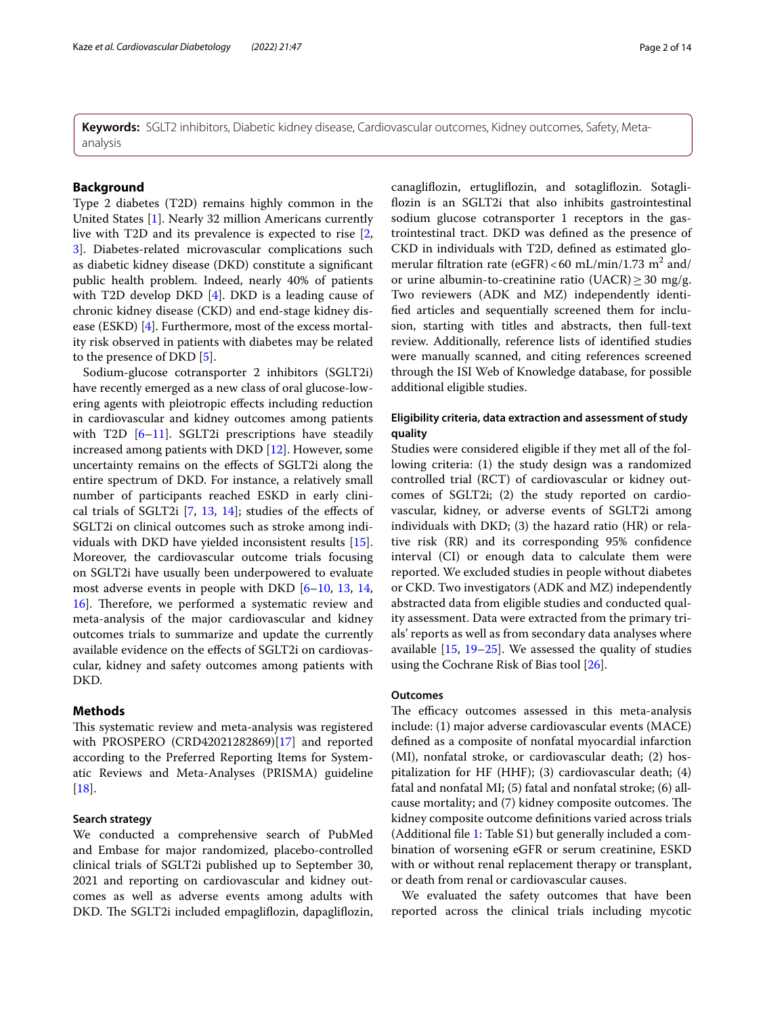**Keywords:** SGLT2 inhibitors, Diabetic kidney disease, Cardiovascular outcomes, Kidney outcomes, Safety, Metaanalysis

## **Background**

Type 2 diabetes (T2D) remains highly common in the United States [[1\]](#page-11-0). Nearly 32 million Americans currently live with T2D and its prevalence is expected to rise [\[2](#page-11-1), [3\]](#page-11-2). Diabetes-related microvascular complications such as diabetic kidney disease (DKD) constitute a signifcant public health problem. Indeed, nearly 40% of patients with T2D develop DKD [\[4\]](#page-11-3). DKD is a leading cause of chronic kidney disease (CKD) and end-stage kidney disease (ESKD) [\[4\]](#page-11-3). Furthermore, most of the excess mortality risk observed in patients with diabetes may be related to the presence of DKD [\[5](#page-11-4)].

Sodium-glucose cotransporter 2 inhibitors (SGLT2i) have recently emerged as a new class of oral glucose-lowering agents with pleiotropic efects including reduction in cardiovascular and kidney outcomes among patients with T2D  $[6-11]$  $[6-11]$  $[6-11]$ . SGLT2i prescriptions have steadily increased among patients with DKD [[12](#page-12-1)]. However, some uncertainty remains on the efects of SGLT2i along the entire spectrum of DKD. For instance, a relatively small number of participants reached ESKD in early clinical trials of SGLT2i [\[7](#page-11-6), [13,](#page-12-2) [14\]](#page-12-3); studies of the efects of SGLT2i on clinical outcomes such as stroke among individuals with DKD have yielded inconsistent results [\[15](#page-12-4)]. Moreover, the cardiovascular outcome trials focusing on SGLT2i have usually been underpowered to evaluate most adverse events in people with DKD [[6](#page-11-5)[–10](#page-12-5), [13,](#page-12-2) [14](#page-12-3), [16\]](#page-12-6). Therefore, we performed a systematic review and meta-analysis of the major cardiovascular and kidney outcomes trials to summarize and update the currently available evidence on the efects of SGLT2i on cardiovascular, kidney and safety outcomes among patients with DKD.

## **Methods**

This systematic review and meta-analysis was registered with PROSPERO (CRD42021282869)[\[17](#page-12-7)] and reported according to the Preferred Reporting Items for Systematic Reviews and Meta-Analyses (PRISMA) guideline [[18\]](#page-12-8).

## **Search strategy**

We conducted a comprehensive search of PubMed and Embase for major randomized, placebo-controlled clinical trials of SGLT2i published up to September 30, 2021 and reporting on cardiovascular and kidney outcomes as well as adverse events among adults with DKD. The SGLT2i included empagliflozin, dapagliflozin, canaglifozin, ertuglifozin, and sotaglifozin. Sotaglifozin is an SGLT2i that also inhibits gastrointestinal sodium glucose cotransporter 1 receptors in the gastrointestinal tract. DKD was defned as the presence of CKD in individuals with T2D, defned as estimated glomerular filtration rate (eGFR) < 60 mL/min/1.73 m<sup>2</sup> and/ or urine albumin-to-creatinine ratio (UACR)  $\geq$  30 mg/g. Two reviewers (ADK and MZ) independently identifed articles and sequentially screened them for inclusion, starting with titles and abstracts, then full-text review. Additionally, reference lists of identifed studies were manually scanned, and citing references screened through the ISI Web of Knowledge database, for possible additional eligible studies.

## **Eligibility criteria, data extraction and assessment of study quality**

Studies were considered eligible if they met all of the following criteria: (1) the study design was a randomized controlled trial (RCT) of cardiovascular or kidney outcomes of SGLT2i; (2) the study reported on cardiovascular, kidney, or adverse events of SGLT2i among individuals with DKD; (3) the hazard ratio (HR) or relative risk (RR) and its corresponding 95% confdence interval (CI) or enough data to calculate them were reported. We excluded studies in people without diabetes or CKD. Two investigators (ADK and MZ) independently abstracted data from eligible studies and conducted quality assessment. Data were extracted from the primary trials' reports as well as from secondary data analyses where available [\[15](#page-12-4), [19–](#page-12-9)[25](#page-12-10)]. We assessed the quality of studies using the Cochrane Risk of Bias tool [[26\]](#page-12-11).

#### **Outcomes**

The efficacy outcomes assessed in this meta-analysis include: (1) major adverse cardiovascular events (MACE) defned as a composite of nonfatal myocardial infarction (MI), nonfatal stroke, or cardiovascular death; (2) hospitalization for HF (HHF); (3) cardiovascular death; (4) fatal and nonfatal MI; (5) fatal and nonfatal stroke; (6) all‐ cause mortality; and (7) kidney composite outcomes. The kidney composite outcome defnitions varied across trials (Additional fle [1](#page-11-7): Table S1) but generally included a combination of worsening eGFR or serum creatinine, ESKD with or without renal replacement therapy or transplant, or death from renal or cardiovascular causes.

We evaluated the safety outcomes that have been reported across the clinical trials including mycotic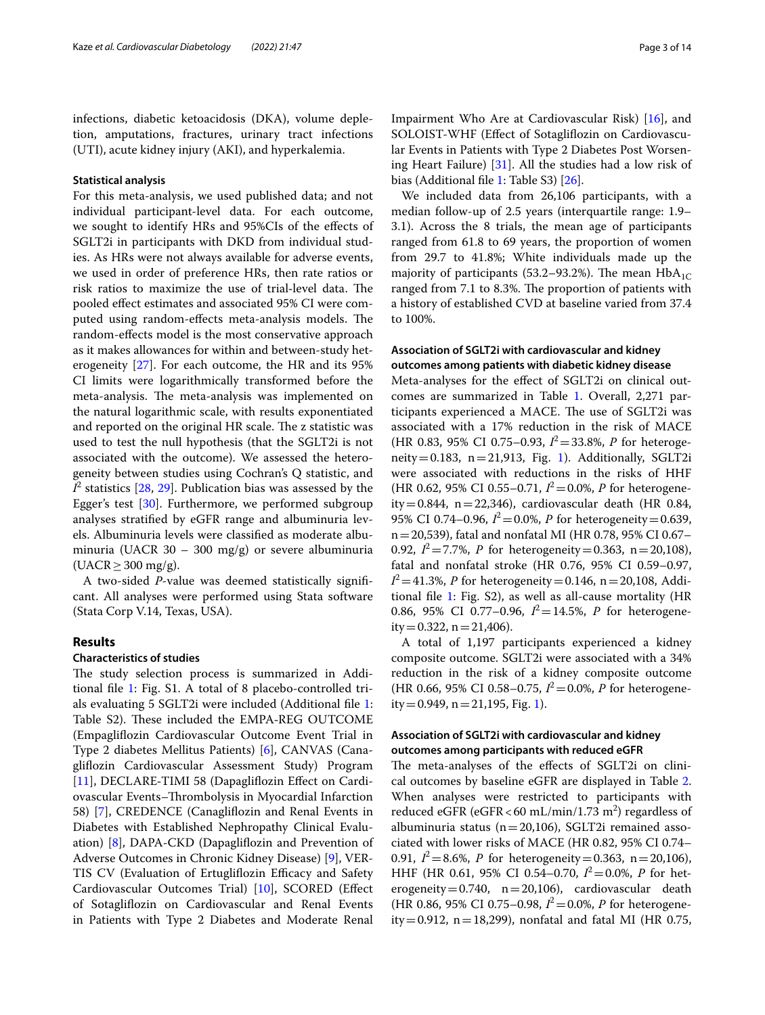infections, diabetic ketoacidosis (DKA), volume depletion, amputations, fractures, urinary tract infections (UTI), acute kidney injury (AKI), and hyperkalemia.

#### **Statistical analysis**

For this meta-analysis, we used published data; and not individual participant-level data. For each outcome, we sought to identify HRs and 95%CIs of the efects of SGLT2i in participants with DKD from individual studies. As HRs were not always available for adverse events, we used in order of preference HRs, then rate ratios or risk ratios to maximize the use of trial-level data. The pooled efect estimates and associated 95% CI were computed using random-effects meta-analysis models. The random-efects model is the most conservative approach as it makes allowances for within and between-study heterogeneity [\[27](#page-12-12)]. For each outcome, the HR and its 95% CI limits were logarithmically transformed before the meta-analysis. The meta-analysis was implemented on the natural logarithmic scale, with results exponentiated and reported on the original HR scale. The z statistic was used to test the null hypothesis (that the SGLT2i is not associated with the outcome). We assessed the heterogeneity between studies using Cochran's Q statistic, and  $I^2$  statistics [[28,](#page-12-13) [29\]](#page-12-14). Publication bias was assessed by the Egger's test [\[30\]](#page-12-15). Furthermore, we performed subgroup analyses stratifed by eGFR range and albuminuria levels. Albuminuria levels were classifed as moderate albuminuria (UACR 30 – 300 mg/g) or severe albuminuria  $(UACR \geq 300 \text{ mg/g}).$ 

A two-sided *P*-value was deemed statistically signifcant. All analyses were performed using Stata software (Stata Corp V.14, Texas, USA).

## **Results**

## **Characteristics of studies**

The study selection process is summarized in Additional fle [1](#page-11-7): Fig. S1. A total of 8 placebo-controlled trials evaluating 5 SGLT2i were included (Additional fle [1](#page-11-7): Table S2). These included the EMPA-REG OUTCOME (Empaglifozin Cardiovascular Outcome Event Trial in Type 2 diabetes Mellitus Patients) [\[6](#page-11-5)], CANVAS (Canaglifozin Cardiovascular Assessment Study) Program [[11\]](#page-12-0), DECLARE-TIMI 58 (Dapagliflozin Effect on Cardiovascular Events–Thrombolysis in Myocardial Infarction 58) [[7](#page-11-6)], CREDENCE (Canaglifozin and Renal Events in Diabetes with Established Nephropathy Clinical Evaluation) [\[8](#page-12-16)], DAPA-CKD (Dapaglifozin and Prevention of Adverse Outcomes in Chronic Kidney Disease) [[9\]](#page-12-17), VER-TIS CV (Evaluation of Ertugliflozin Efficacy and Safety Cardiovascular Outcomes Trial) [[10](#page-12-5)], SCORED (Efect of Sotaglifozin on Cardiovascular and Renal Events in Patients with Type 2 Diabetes and Moderate Renal Impairment Who Are at Cardiovascular Risk) [\[16](#page-12-6)], and SOLOIST-WHF (Efect of Sotaglifozin on Cardiovascular Events in Patients with Type 2 Diabetes Post Worsening Heart Failure) [[31](#page-12-18)]. All the studies had a low risk of bias (Additional fle [1:](#page-11-7) Table S3) [[26](#page-12-11)].

We included data from 26,106 participants, with a median follow-up of 2.5 years (interquartile range: 1.9– 3.1). Across the 8 trials, the mean age of participants ranged from 61.8 to 69 years, the proportion of women from 29.7 to 41.8%; White individuals made up the majority of participants (53.2–93.2%). The mean  $HbA_{1C}$ ranged from 7.1 to 8.3%. The proportion of patients with a history of established CVD at baseline varied from 37.4 to 100%.

## **Association of SGLT2i with cardiovascular and kidney outcomes among patients with diabetic kidney disease**

Meta-analyses for the efect of SGLT2i on clinical outcomes are summarized in Table [1.](#page-3-0) Overall, 2,271 participants experienced a MACE. The use of SGLT2i was associated with a 17% reduction in the risk of MACE (HR 0.83, 95% CI 0.75–0.93, *I* <sup>2</sup>=33.8%, *P* for heteroge-neity=0.[1](#page-4-0)83,  $n=21,913$ , Fig. 1). Additionally, SGLT2i were associated with reductions in the risks of HHF (HR 0.62, 95% CI 0.55–0.71, *I* <sup>2</sup>=0.0%, *P* for heterogeneity=0.844, n=22,346), cardiovascular death (HR 0.84, 95% CI 0.74–0.96,  $I^2 = 0.0\%$ , *P* for heterogeneity=0.639, n=20,539), fatal and nonfatal MI (HR 0.78, 95% CI 0.67– 0.92,  $I^2 = 7.7\%$ , *P* for heterogeneity=0.363, n=20,108), fatal and nonfatal stroke (HR 0.76, 95% CI 0.59–0.97,  $I^2$  = 41.3%, *P* for heterogeneity = 0.146, n = 20,108, Additional fle [1:](#page-11-7) Fig. S2), as well as all-cause mortality (HR 0.86, 95% CI 0.77–0.96,  $I^2 = 14.5$ %, *P* for heterogeneity = 0.322,  $n = 21,406$ ).

A total of 1,197 participants experienced a kidney composite outcome. SGLT2i were associated with a 34% reduction in the risk of a kidney composite outcome  $(HR\ 0.66, 95\% \ CI\ 0.58-0.75, I^2=0.0\%, P \text{ for heterogeneous-}$  $ity = 0.949$ ,  $n = 21,195$ , Fig. [1\)](#page-4-0).

## **Association of SGLT2i with cardiovascular and kidney outcomes among participants with reduced eGFR**

The meta-analyses of the effects of SGLT2i on clinical outcomes by baseline eGFR are displayed in Table [2](#page-5-0). When analyses were restricted to participants with reduced eGFR (eGFR < 60 mL/min/1.73 m<sup>2</sup>) regardless of albuminuria status ( $n=20,106$ ), SGLT2i remained associated with lower risks of MACE (HR 0.82, 95% CI 0.74– 0.91,  $I^2 = 8.6\%$ , *P* for heterogeneity = 0.363, n = 20,106), HHF (HR 0.61, 95% CI 0.54–0.70,  $I^2 = 0.0\%$ , *P* for heterogeneity=0.740,  $n=20,106$ ), cardiovascular death  $(HR\ 0.86, 95\% \ CI\ 0.75-0.98, I^2 = 0.0\%, P \text{ for heterogeneous-}$ ity = 0.912,  $n = 18,299$ ), nonfatal and fatal MI (HR 0.75,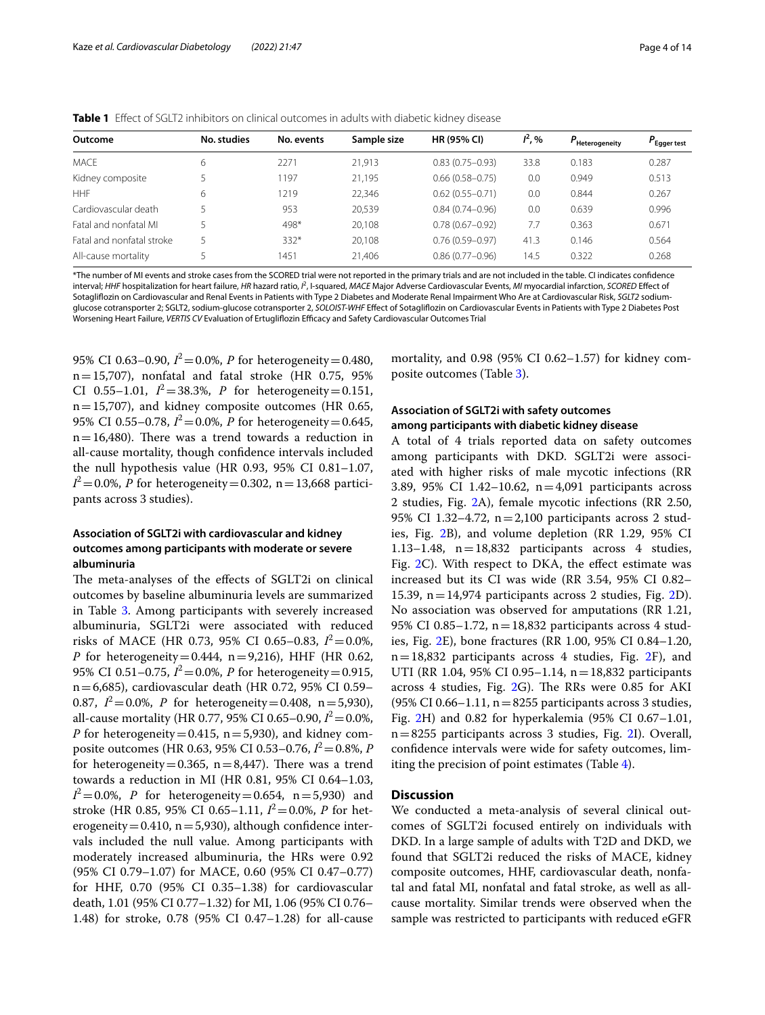<span id="page-3-0"></span>

|  | <b>Table 1</b> Effect of SGLT2 inhibitors on clinical outcomes in adults with diabetic kidney disease |  |  |  |  |  |  |  |
|--|-------------------------------------------------------------------------------------------------------|--|--|--|--|--|--|--|
|--|-------------------------------------------------------------------------------------------------------|--|--|--|--|--|--|--|

| Outcome                   | No. studies | No. events | Sample size | <b>HR (95% CI)</b>  | $I^2, \%$ | Heterogeneity | $P_{\text{Egger test}}$ |
|---------------------------|-------------|------------|-------------|---------------------|-----------|---------------|-------------------------|
| <b>MACF</b>               | 6           | 2271       | 21.913      | $0.83(0.75 - 0.93)$ | 33.8      | 0.183         | 0.287                   |
| Kidney composite          |             | 1197       | 21.195      | $0.66(0.58 - 0.75)$ | 0.0       | 0.949         | 0.513                   |
| <b>HHF</b>                | 6           | 1219       | 22.346      | $0.62(0.55 - 0.71)$ | 0.0       | 0.844         | 0.267                   |
| Cardiovascular death      |             | 953        | 20.539      | $0.84(0.74 - 0.96)$ | 0.0       | 0.639         | 0.996                   |
| Fatal and nonfatal ML     |             | 498*       | 20,108      | $0.78(0.67 - 0.92)$ | 7.7       | 0.363         | 0.671                   |
| Fatal and nonfatal stroke |             | $332*$     | 20.108      | $0.76(0.59 - 0.97)$ | 41.3      | 0.146         | 0.564                   |
| All-cause mortality       |             | 1451       | 21.406      | $0.86(0.77-0.96)$   | 14.5      | 0.322         | 0.268                   |

\*The number of MI events and stroke cases from the SCORED trial were not reported in the primary trials and are not included in the table. CI indicates confdence interval; *HHF* hospitalization for heart failure, *HR* hazard ratio, *I<sup>2</sup>*, I-squared, *MACE* Major Adverse Cardiovascular Events, *MI* myocardial infarction, *SCORED* Effect of Sotaglifozin on Cardiovascular and Renal Events in Patients with Type 2 Diabetes and Moderate Renal Impairment Who Are at Cardiovascular Risk, *SGLT2* sodiumglucose cotransporter 2; SGLT2, sodium-glucose cotransporter 2, *SOLOIST-WHF* Efect of Sotaglifozin on Cardiovascular Events in Patients with Type 2 Diabetes Post Worsening Heart Failure, *VERTIS CV* Evaluation of Ertuglifozin Efcacy and Safety Cardiovascular Outcomes Trial

95% CI 0.63–0.90, *I* <sup>2</sup>=0.0%, *P* for heterogeneity=0.480,  $n=15,707$ ), nonfatal and fatal stroke (HR 0.75, 95% CI 0.55–1.01,  $I^2 = 38.3\%$ , *P* for heterogeneity=0.151, n=15,707), and kidney composite outcomes (HR 0.65, 95% CI 0.55–0.78,  $I^2 = 0.0$ %, *P* for heterogeneity = 0.645,  $n=16,480$ ). There was a trend towards a reduction in all-cause mortality, though confdence intervals included the null hypothesis value (HR 0.93, 95% CI 0.81–1.07,  $I^2 = 0.0\%$ , *P* for heterogeneity=0.302, n=13,668 participants across 3 studies).

## **Association of SGLT2i with cardiovascular and kidney outcomes among participants with moderate or severe albuminuria**

The meta-analyses of the effects of SGLT2i on clinical outcomes by baseline albuminuria levels are summarized in Table [3.](#page-6-0) Among participants with severely increased albuminuria, SGLT2i were associated with reduced risks of MACE (HR 0.73, 95% CI 0.65–0.83,  $I^2 = 0.0\%$ , *P* for heterogeneity=0.444, n=9,216), HHF (HR 0.62, 95% CI 0.51–0.75, *I* <sup>2</sup>=0.0%, *P* for heterogeneity=0.915, n=6,685), cardiovascular death (HR 0.72, 95% CI 0.59– 0.87,  $I^2 = 0.0\%$ , *P* for heterogeneity=0.408, n=5,930), all-cause mortality (HR 0.77, 95% CI 0.65–0.90,  $I^2 = 0.0\%$ , *P* for heterogeneity=0.415,  $n=5,930$ , and kidney composite outcomes (HR 0.63, 95% CI 0.53–0.76, *I* <sup>2</sup>=0.8%, *P* for heterogeneity=0.365,  $n=8,447$ ). There was a trend towards a reduction in MI (HR 0.81, 95% CI 0.64–1.03,  $I^2 = 0.0\%$ , *P* for heterogeneity=0.654, n=5,930) and stroke (HR 0.85, 95% CI 0.65–1.11, *I* <sup>2</sup>=0.0%, *P* for heterogeneity=0.410,  $n=5,930$ ), although confidence intervals included the null value. Among participants with moderately increased albuminuria, the HRs were 0.92 (95% CI 0.79–1.07) for MACE, 0.60 (95% CI 0.47–0.77) for HHF, 0.70 (95% CI 0.35–1.38) for cardiovascular death, 1.01 (95% CI 0.77–1.32) for MI, 1.06 (95% CI 0.76– 1.48) for stroke, 0.78 (95% CI 0.47–1.28) for all-cause

mortality, and 0.98 (95% CI 0.62–1.57) for kidney composite outcomes (Table [3\)](#page-6-0).

## **Association of SGLT2i with safety outcomes among participants with diabetic kidney disease**

A total of 4 trials reported data on safety outcomes among participants with DKD. SGLT2i were associated with higher risks of male mycotic infections (RR 3.89, 95% CI 1.42–10.62, n=4,091 participants across 2 studies, Fig. [2](#page-7-0)A), female mycotic infections (RR 2.50, 95% CI 1.32–4.72, n=2,100 participants across 2 studies, Fig. [2B](#page-7-0)), and volume depletion (RR 1.29, 95% CI 1.13–1.48, n=18,832 participants across 4 studies, Fig. [2](#page-7-0)C). With respect to DKA, the effect estimate was increased but its CI was wide (RR 3.54, 95% CI 0.82– 15.39,  $n=14,974$  participants across 2 studies, Fig. [2D](#page-7-0)). No association was observed for amputations (RR 1.21, 95% CI 0.85–1.72,  $n = 18,832$  participants across 4 studies, Fig. [2](#page-7-0)E), bone fractures (RR 1.00, 95% CI 0.84–1.20, n=18,832 participants across 4 studies, Fig. [2F](#page-7-0)), and UTI (RR 1.04, 95% CI 0.95–1.14, n=18,832 participants across 4 studies, Fig.  $2G$  $2G$ ). The RRs were 0.85 for AKI  $(95\% \text{ CI } 0.66-1.11, n=8255 \text{ participants across } 3 \text{ studies},$ Fig. [2](#page-7-0)H) and 0.82 for hyperkalemia (95% CI 0.67–1.01, n=8255 participants across 3 studies, Fig. [2](#page-7-0)I). Overall, confdence intervals were wide for safety outcomes, limiting the precision of point estimates (Table [4\)](#page-10-0).

## **Discussion**

We conducted a meta-analysis of several clinical outcomes of SGLT2i focused entirely on individuals with DKD. In a large sample of adults with T2D and DKD, we found that SGLT2i reduced the risks of MACE, kidney composite outcomes, HHF, cardiovascular death, nonfatal and fatal MI, nonfatal and fatal stroke, as well as allcause mortality. Similar trends were observed when the sample was restricted to participants with reduced eGFR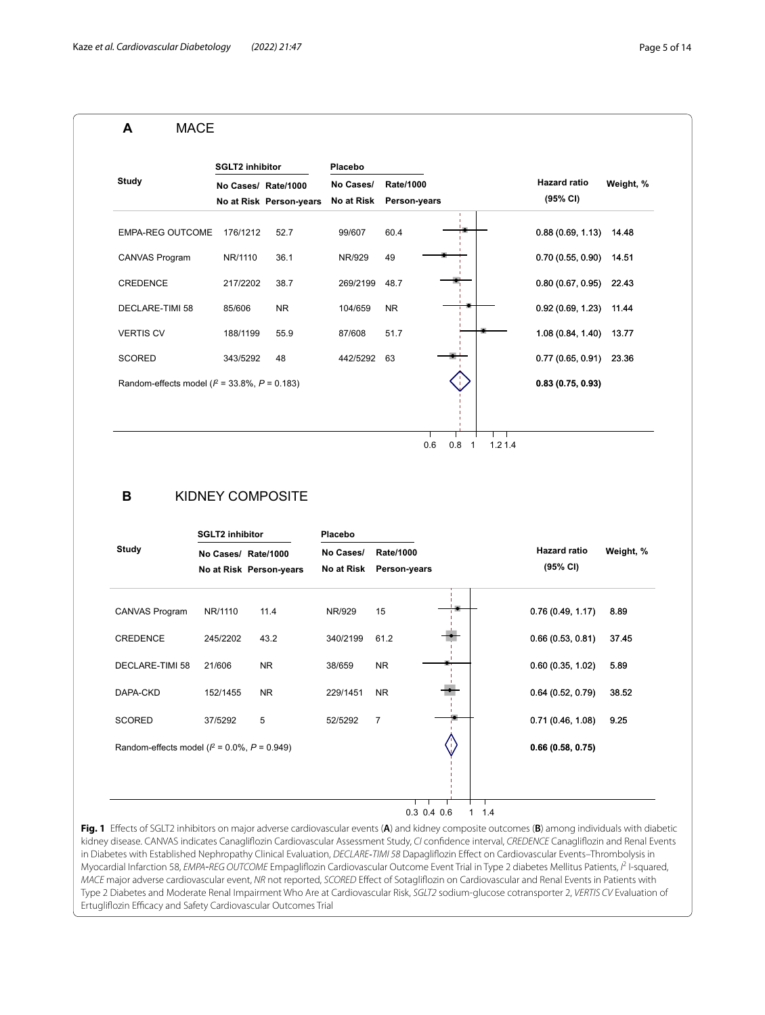#### Random-effects model (*I* <sup>2</sup> = 33.8%, *P* = 0.183) **Study** SCORED VERTIS CV CREDENCE DECLARE-TIMI 58 EMPA-REG OUTCOME 176/1212 CANVAS Program **No Cases/ Rate/1000 No at Risk Person-years** 343/5292 188/1199 217/2202 85/606 NR/1110 48 55.9 38.7 NR 52.7 36.1 **SGLT2 inhibitor** 442/5292 63 87/608 269/2199 48.7 104/659 99/607 NR/929 51.7 NR 60.4 49 0.83 (0.75, 0.93) **0.83 (0.75, 0.93)**0.77 (0.65, 0.91) 23.36 1.08 (0.84, 1.40) 13.77 0.80 (0.67, 0.95) 22.43 0.92 (0.69, 1.23) 11.44 0.88 (0.69, 1.13) 14.48 0.70 (0.55, 0.90) 14.51 **Weight, %** 0.6 0.8 1 1.2 1.4 **No Cases/ No at Risk Rate/1000 Person-years Placebo Hazard ratio (95% CI) A** MACE **SGLT2 inhibitor Placebo B** KIDNEY COMPOSITE

| <b>Study</b>                                    | No Cases/ Rate/1000<br>No at Risk Person-years |           | No Cases/<br><b>Rate/1000</b><br>No at Risk<br>Person-years |                |     | <b>Hazard ratio</b><br>(95% CI) | Weight, % |  |
|-------------------------------------------------|------------------------------------------------|-----------|-------------------------------------------------------------|----------------|-----|---------------------------------|-----------|--|
| CANVAS Program                                  | NR/1110                                        | 11.4      | NR/929                                                      | 15             |     | 0.76(0.49, 1.17)                | 8.89      |  |
| <b>CREDENCE</b>                                 | 245/2202                                       | 43.2      | 340/2199                                                    | 61.2           |     | 0.66(0.53, 0.81)                | 37.45     |  |
| DECLARE-TIMI 58                                 | 21/606                                         | <b>NR</b> | 38/659                                                      | <b>NR</b>      |     | 0.60(0.35, 1.02)                | 5.89      |  |
| DAPA-CKD                                        | 152/1455                                       | <b>NR</b> | 229/1451                                                    | <b>NR</b>      |     | 0.64(0.52, 0.79)                | 38.52     |  |
| <b>SCORED</b>                                   | 37/5292                                        | 5         | 52/5292                                                     | $\overline{7}$ |     | 0.71(0.46, 1.08)                | 9.25      |  |
| Random-effects model ( $l^2$ = 0.0%, P = 0.949) |                                                |           |                                                             |                |     | 0.66(0.58, 0.75)                |           |  |
|                                                 |                                                |           |                                                             |                |     |                                 |           |  |
|                                                 |                                                |           |                                                             | $0.3$ 0.4 0.6  | 1.4 |                                 |           |  |

<span id="page-4-0"></span>**Fig. 1** Efects of SGLT2 inhibitors on major adverse cardiovascular events (**A**) and kidney composite outcomes (**B**) among individuals with diabetic kidney disease. CANVAS indicates Canaglifozin Cardiovascular Assessment Study, *CI* confdence interval, *CREDENCE* Canaglifozin and Renal Events in Diabetes with Established Nephropathy Clinical Evaluation, *DECLARE‐TIMI 58* Dapaglifozin Efect on Cardiovascular Events–Thrombolysis in Myocardial Infarction 58, *EMPA-REG OUTCOME* Empagliflozin Cardiovascular Outcome Event Trial in Type 2 diabetes Mellitus Patients, *i*<sup>2</sup> I-squared, *MACE* major adverse cardiovascular event, *NR* not reported, *SCORED* Efect of Sotaglifozin on Cardiovascular and Renal Events in Patients with Type 2 Diabetes and Moderate Renal Impairment Who Are at Cardiovascular Risk, *SGLT2* sodium-glucose cotransporter 2, *VERTIS CV* Evaluation of Ertugliflozin Efficacy and Safety Cardiovascular Outcomes Trial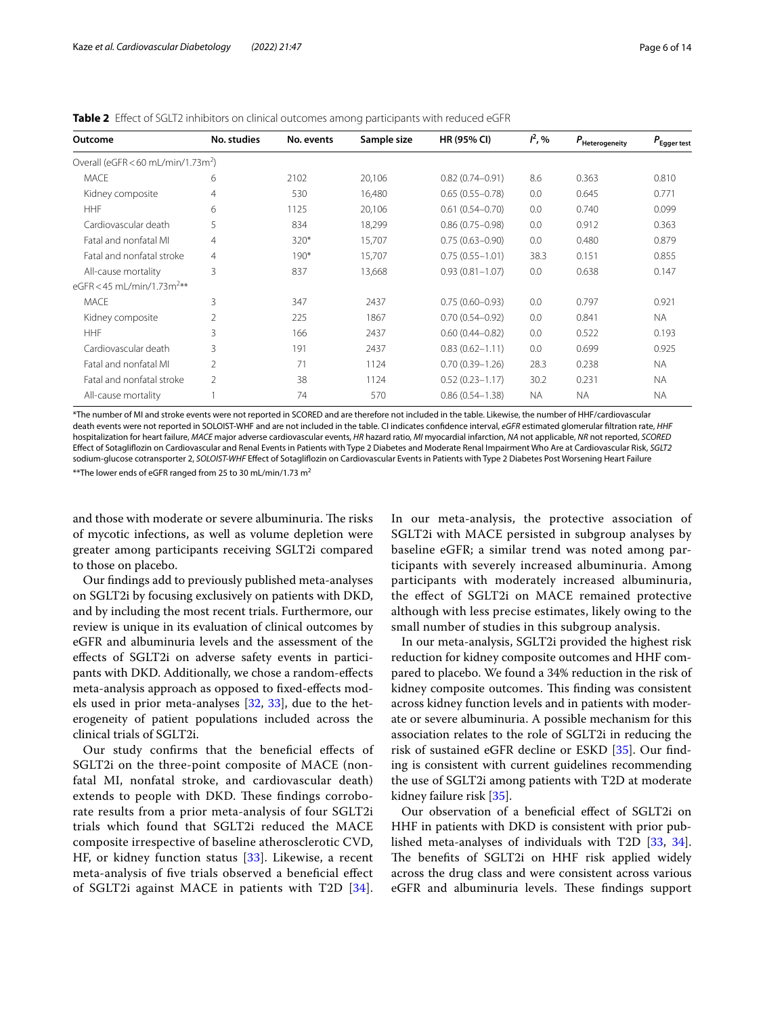| Outcome                                        | No. studies    | No. events | Sample size | HR (95% CI)         | $I^2$ , % | $P_{\rm Heterogeneity}$ | $P_{\rm Egger\, test}$ |
|------------------------------------------------|----------------|------------|-------------|---------------------|-----------|-------------------------|------------------------|
| Overall (eGFR < 60 mL/min/1.73m <sup>2</sup> ) |                |            |             |                     |           |                         |                        |
| <b>MACE</b>                                    | 6              | 2102       | 20,106      | $0.82(0.74 - 0.91)$ | 8.6       | 0.363                   | 0.810                  |
| Kidney composite                               | 4              | 530        | 16,480      | $0.65(0.55 - 0.78)$ | 0.0       | 0.645                   | 0.771                  |
| <b>HHF</b>                                     | 6              | 1125       | 20,106      | $0.61(0.54 - 0.70)$ | 0.0       | 0.740                   | 0.099                  |
| Cardiovascular death                           | 5              | 834        | 18,299      | $0.86(0.75 - 0.98)$ | 0.0       | 0.912                   | 0.363                  |
| Fatal and nonfatal MI                          | $\overline{4}$ | $320*$     | 15,707      | $0.75(0.63 - 0.90)$ | 0.0       | 0.480                   | 0.879                  |
| Fatal and nonfatal stroke                      | $\overline{4}$ | $190*$     | 15,707      | $0.75(0.55 - 1.01)$ | 38.3      | 0.151                   | 0.855                  |
| All-cause mortality                            | 3              | 837        | 13,668      | $0.93(0.81 - 1.07)$ | 0.0       | 0.638                   | 0.147                  |
| eGFR < 45 mL/min/1.73m <sup>2**</sup>          |                |            |             |                     |           |                         |                        |
| <b>MACE</b>                                    | 3              | 347        | 2437        | $0.75(0.60 - 0.93)$ | 0.0       | 0.797                   | 0.921                  |
| Kidney composite                               | $\overline{2}$ | 225        | 1867        | $0.70(0.54 - 0.92)$ | 0.0       | 0.841                   | <b>NA</b>              |
| <b>HHF</b>                                     | 3              | 166        | 2437        | $0.60(0.44 - 0.82)$ | 0.0       | 0.522                   | 0.193                  |
| Cardiovascular death                           | 3              | 191        | 2437        | $0.83(0.62 - 1.11)$ | 0.0       | 0.699                   | 0.925                  |
| Fatal and nonfatal MI                          | $\overline{2}$ | 71         | 1124        | $0.70(0.39 - 1.26)$ | 28.3      | 0.238                   | <b>NA</b>              |
| Fatal and nonfatal stroke                      | $\overline{2}$ | 38         | 1124        | $0.52(0.23 - 1.17)$ | 30.2      | 0.231                   | <b>NA</b>              |
| All-cause mortality                            |                | 74         | 570         | $0.86(0.54 - 1.38)$ | ΝA        | <b>NA</b>               | <b>NA</b>              |

<span id="page-5-0"></span>**Table 2** Efect of SGLT2 inhibitors on clinical outcomes among participants with reduced eGFR

\*The number of MI and stroke events were not reported in SCORED and are therefore not included in the table. Likewise, the number of HHF/cardiovascular death events were not reported in SOLOIST-WHF and are not included in the table. CI indicates confdence interval, *eGFR* estimated glomerular fltration rate, *HHF* hospitalization for heart failure, *MACE* major adverse cardiovascular events, *HR* hazard ratio, *MI* myocardial infarction, *NA* not applicable, *NR* not reported, *SCORED* Efect of Sotaglifozin on Cardiovascular and Renal Events in Patients with Type 2 Diabetes and Moderate Renal Impairment Who Are at Cardiovascular Risk, *SGLT2* sodium-glucose cotransporter 2, *SOLOIST-WHF* Efect of Sotaglifozin on Cardiovascular Events in Patients with Type 2 Diabetes Post Worsening Heart Failure

\*\*The lower ends of eGFR ranged from 25 to 30 mL/min/1.73  $m^2$ 

and those with moderate or severe albuminuria. The risks of mycotic infections, as well as volume depletion were greater among participants receiving SGLT2i compared to those on placebo.

Our fndings add to previously published meta-analyses on SGLT2i by focusing exclusively on patients with DKD, and by including the most recent trials. Furthermore, our review is unique in its evaluation of clinical outcomes by eGFR and albuminuria levels and the assessment of the efects of SGLT2i on adverse safety events in participants with DKD. Additionally, we chose a random-efects meta-analysis approach as opposed to fxed-efects models used in prior meta-analyses [\[32](#page-12-19), [33\]](#page-12-20), due to the heterogeneity of patient populations included across the clinical trials of SGLT2i.

Our study confrms that the benefcial efects of SGLT2i on the three-point composite of MACE (nonfatal MI, nonfatal stroke, and cardiovascular death) extends to people with DKD. These findings corroborate results from a prior meta-analysis of four SGLT2i trials which found that SGLT2i reduced the MACE composite irrespective of baseline atherosclerotic CVD, HF, or kidney function status [[33\]](#page-12-20). Likewise, a recent meta-analysis of fve trials observed a benefcial efect of SGLT2i against MACE in patients with T2D [[34\]](#page-12-21). In our meta-analysis, the protective association of SGLT2i with MACE persisted in subgroup analyses by baseline eGFR; a similar trend was noted among participants with severely increased albuminuria. Among participants with moderately increased albuminuria, the efect of SGLT2i on MACE remained protective although with less precise estimates, likely owing to the small number of studies in this subgroup analysis.

In our meta-analysis, SGLT2i provided the highest risk reduction for kidney composite outcomes and HHF compared to placebo. We found a 34% reduction in the risk of kidney composite outcomes. This finding was consistent across kidney function levels and in patients with moderate or severe albuminuria. A possible mechanism for this association relates to the role of SGLT2i in reducing the risk of sustained eGFR decline or ESKD [[35\]](#page-12-22). Our fnding is consistent with current guidelines recommending the use of SGLT2i among patients with T2D at moderate kidney failure risk [[35](#page-12-22)].

Our observation of a benefcial efect of SGLT2i on HHF in patients with DKD is consistent with prior published meta-analyses of individuals with T2D [[33,](#page-12-20) [34](#page-12-21)]. The benefits of SGLT2i on HHF risk applied widely across the drug class and were consistent across various eGFR and albuminuria levels. These findings support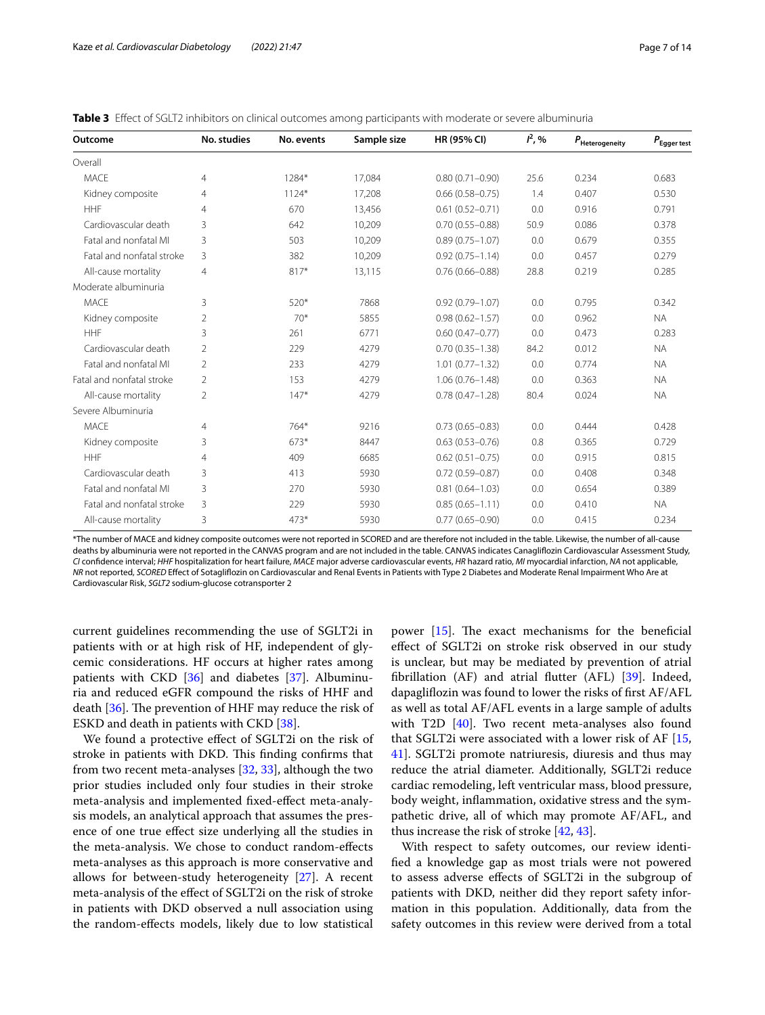| No. studies    | No. events | Sample size | HR (95% CI)         | $I^2, \%$ | $\textit{P}_{\textrm{Heterogeneity}}$ | $P_{\rm Egger \, test}$ |
|----------------|------------|-------------|---------------------|-----------|---------------------------------------|-------------------------|
|                |            |             |                     |           |                                       |                         |
| 4              | 1284*      | 17,084      | $0.80(0.71 - 0.90)$ | 25.6      | 0.234                                 | 0.683                   |
| 4              | $1124*$    | 17,208      | $0.66(0.58 - 0.75)$ | 1.4       | 0.407                                 | 0.530                   |
| 4              | 670        | 13,456      | $0.61(0.52 - 0.71)$ | 0.0       | 0.916                                 | 0.791                   |
| 3              | 642        | 10,209      | $0.70(0.55 - 0.88)$ | 50.9      | 0.086                                 | 0.378                   |
| 3              | 503        | 10,209      | $0.89(0.75 - 1.07)$ | 0.0       | 0.679                                 | 0.355                   |
| 3              | 382        | 10,209      | $0.92(0.75 - 1.14)$ | 0.0       | 0.457                                 | 0.279                   |
| 4              | $817*$     | 13,115      | $0.76(0.66 - 0.88)$ | 28.8      | 0.219                                 | 0.285                   |
|                |            |             |                     |           |                                       |                         |
| 3              | $520*$     | 7868        | $0.92(0.79 - 1.07)$ | 0.0       | 0.795                                 | 0.342                   |
| 2              | $70*$      | 5855        | $0.98(0.62 - 1.57)$ | 0.0       | 0.962                                 | <b>NA</b>               |
| 3              | 261        | 6771        | $0.60(0.47 - 0.77)$ | 0.0       | 0.473                                 | 0.283                   |
| $\overline{2}$ | 229        | 4279        | $0.70(0.35 - 1.38)$ | 84.2      | 0.012                                 | <b>NA</b>               |
| $\overline{2}$ | 233        | 4279        | $1.01(0.77 - 1.32)$ | 0.0       | 0.774                                 | <b>NA</b>               |
| $\overline{2}$ | 153        | 4279        | $1.06(0.76 - 1.48)$ | 0.0       | 0.363                                 | <b>NA</b>               |
| 2              | $147*$     | 4279        | $0.78(0.47 - 1.28)$ | 80.4      | 0.024                                 | <b>NA</b>               |
|                |            |             |                     |           |                                       |                         |
| 4              | $764*$     | 9216        | $0.73(0.65 - 0.83)$ | 0.0       | 0.444                                 | 0.428                   |
| 3              | 673*       | 8447        | $0.63(0.53 - 0.76)$ | 0.8       | 0.365                                 | 0.729                   |
| 4              | 409        | 6685        | $0.62(0.51 - 0.75)$ | 0.0       | 0.915                                 | 0.815                   |
| 3              | 413        | 5930        | $0.72(0.59 - 0.87)$ | 0.0       | 0.408                                 | 0.348                   |
| 3              | 270        | 5930        | $0.81(0.64 - 1.03)$ | 0.0       | 0.654                                 | 0.389                   |
| 3              | 229        | 5930        | $0.85(0.65 - 1.11)$ | 0.0       | 0.410                                 | <b>NA</b>               |
| 3              | $473*$     | 5930        | $0.77(0.65 - 0.90)$ | 0.0       | 0.415                                 | 0.234                   |
|                |            |             |                     |           |                                       |                         |

<span id="page-6-0"></span>

\*The number of MACE and kidney composite outcomes were not reported in SCORED and are therefore not included in the table. Likewise, the number of all-cause deaths by albuminuria were not reported in the CANVAS program and are not included in the table. CANVAS indicates Canaglifozin Cardiovascular Assessment Study, *CI* confdence interval; *HHF* hospitalization for heart failure, *MACE* major adverse cardiovascular events, *HR* hazard ratio, *MI* myocardial infarction, *NA* not applicable, *NR* not reported, *SCORED* Efect of Sotaglifozin on Cardiovascular and Renal Events in Patients with Type 2 Diabetes and Moderate Renal Impairment Who Are at Cardiovascular Risk, *SGLT2* sodium-glucose cotransporter 2

current guidelines recommending the use of SGLT2i in patients with or at high risk of HF, independent of glycemic considerations. HF occurs at higher rates among patients with CKD [[36\]](#page-12-23) and diabetes [\[37](#page-12-24)]. Albuminuria and reduced eGFR compound the risks of HHF and death  $[36]$  $[36]$ . The prevention of HHF may reduce the risk of ESKD and death in patients with CKD [\[38](#page-12-25)].

We found a protective efect of SGLT2i on the risk of stroke in patients with DKD. This finding confirms that from two recent meta-analyses [[32,](#page-12-19) [33](#page-12-20)], although the two prior studies included only four studies in their stroke meta-analysis and implemented fxed-efect meta-analysis models, an analytical approach that assumes the presence of one true efect size underlying all the studies in the meta-analysis. We chose to conduct random-efects meta-analyses as this approach is more conservative and allows for between-study heterogeneity [[27\]](#page-12-12). A recent meta-analysis of the efect of SGLT2i on the risk of stroke in patients with DKD observed a null association using the random-efects models, likely due to low statistical

power  $[15]$ . The exact mechanisms for the beneficial efect of SGLT2i on stroke risk observed in our study is unclear, but may be mediated by prevention of atrial fbrillation (AF) and atrial futter (AFL) [\[39](#page-12-26)]. Indeed, dapaglifozin was found to lower the risks of frst AF/AFL as well as total AF/AFL events in a large sample of adults with T2D [\[40](#page-12-27)]. Two recent meta-analyses also found that SGLT2i were associated with a lower risk of AF  $[15, 16]$  $[15, 16]$  $[15, 16]$ [41\]](#page-12-28). SGLT2i promote natriuresis, diuresis and thus may reduce the atrial diameter. Additionally, SGLT2i reduce cardiac remodeling, left ventricular mass, blood pressure, body weight, infammation, oxidative stress and the sympathetic drive, all of which may promote AF/AFL, and thus increase the risk of stroke [[42](#page-12-29), [43\]](#page-12-30).

With respect to safety outcomes, our review identifed a knowledge gap as most trials were not powered to assess adverse efects of SGLT2i in the subgroup of patients with DKD, neither did they report safety information in this population. Additionally, data from the safety outcomes in this review were derived from a total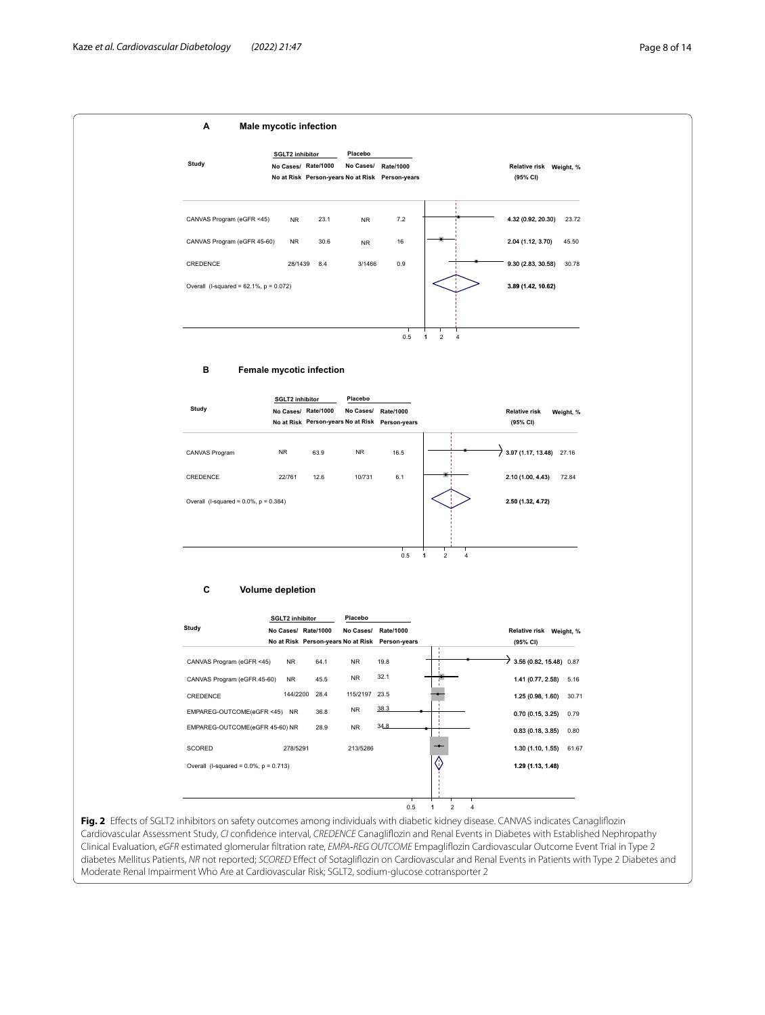

<span id="page-7-0"></span>**Fig. 2** Efects of SGLT2 inhibitors on safety outcomes among individuals with diabetic kidney disease. CANVAS indicates Canaglifozin Cardiovascular Assessment Study, *CI* confdence interval, *CREDENCE* Canaglifozin and Renal Events in Diabetes with Established Nephropathy Clinical Evaluation, *eGFR* estimated glomerular fltration rate, *EMPA‐REG OUTCOME* Empaglifozin Cardiovascular Outcome Event Trial in Type 2 diabetes Mellitus Patients, *NR* not reported; *SCORED* Efect of Sotaglifozin on Cardiovascular and Renal Events in Patients with Type 2 Diabetes and Moderate Renal Impairment Who Are at Cardiovascular Risk; SGLT2, sodium-glucose cotransporter 2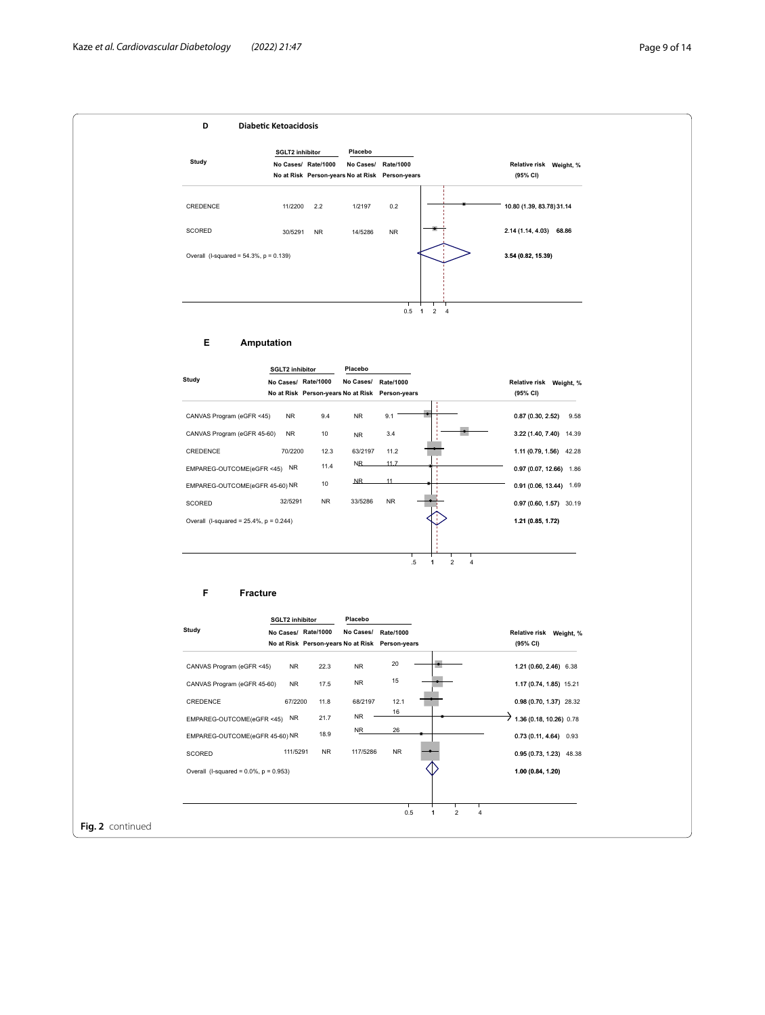

**Fig. 2** continued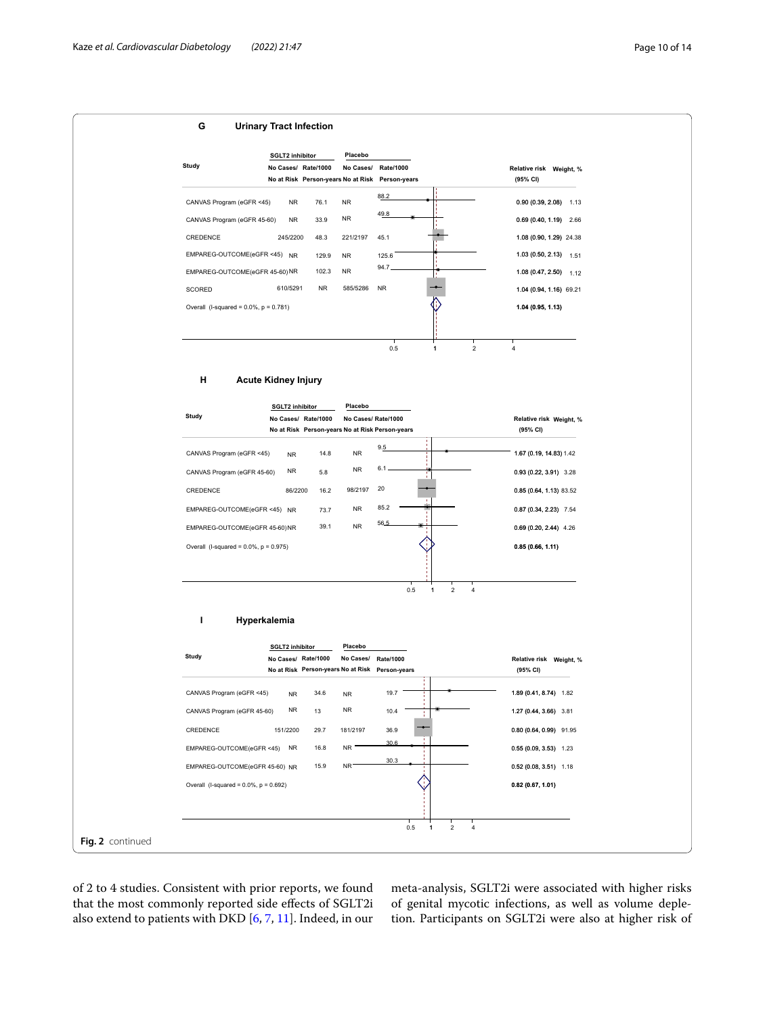

of 2 to 4 studies. Consistent with prior reports, we found that the most commonly reported side efects of SGLT2i also extend to patients with DKD [[6,](#page-11-5) [7](#page-11-6), [11\]](#page-12-0). Indeed, in our

meta-analysis, SGLT2i were associated with higher risks of genital mycotic infections, as well as volume depletion. Participants on SGLT2i were also at higher risk of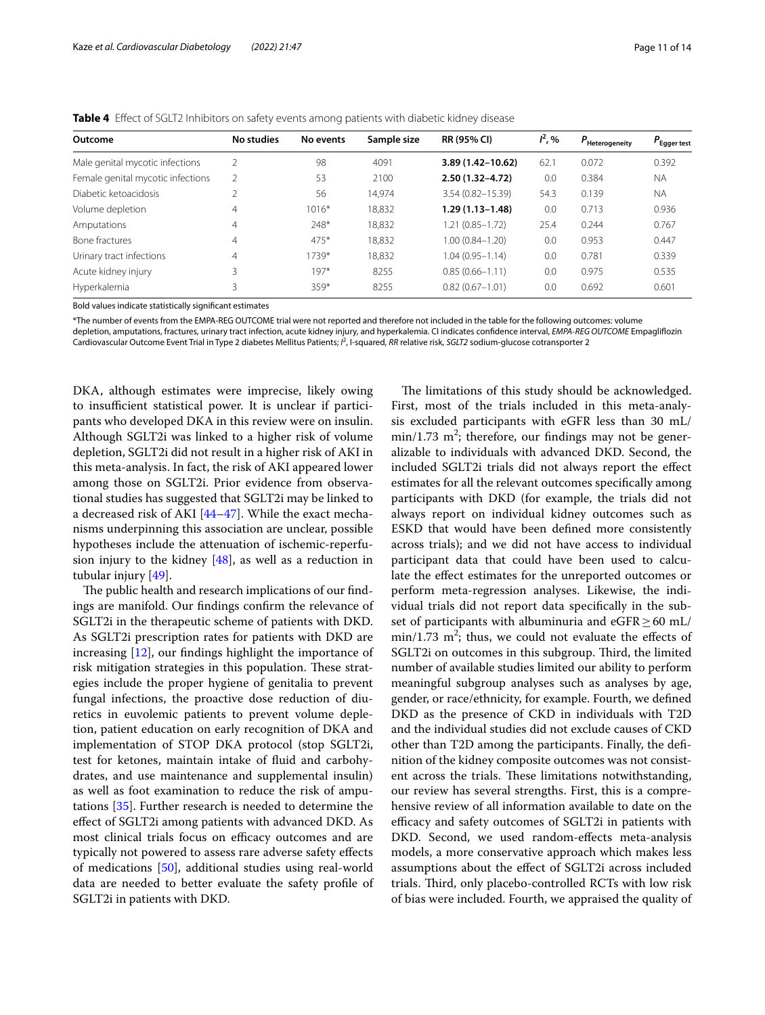<span id="page-10-0"></span>

| Outcome                           | No studies     | No events | Sample size | <b>RR (95% CI)</b>   | $I^2, \%$ | $P_{\rm Heteroaeneitv}$ | $P_{\text{Egger test}}$ |
|-----------------------------------|----------------|-----------|-------------|----------------------|-----------|-------------------------|-------------------------|
| Male genital mycotic infections   |                | 98        | 4091        | $3.89(1.42 - 10.62)$ | 62.1      | 0.072                   | 0.392                   |
| Female genital mycotic infections |                | 53        | 2100        | $2.50(1.32 - 4.72)$  | 0.0       | 0.384                   | <b>NA</b>               |
| Diabetic ketoacidosis             |                | 56        | 14,974      | $3.54(0.82 - 15.39)$ | 54.3      | 0.139                   | <b>NA</b>               |
| Volume depletion                  | 4              | $1016*$   | 18,832      | $1.29(1.13 - 1.48)$  | 0.0       | 0.713                   | 0.936                   |
| Amputations                       | 4              | 248*      | 18,832      | 1.21 (0.85-1.72)     | 25.4      | 0.244                   | 0.767                   |
| <b>Bone fractures</b>             | 4              | $475*$    | 18.832      | $1.00(0.84 - 1.20)$  | 0.0       | 0.953                   | 0.447                   |
| Urinary tract infections          | $\overline{4}$ | 1739*     | 18,832      | $1.04(0.95 - 1.14)$  | 0.0       | 0.781                   | 0.339                   |
| Acute kidney injury               |                | $197*$    | 8255        | $0.85(0.66 - 1.11)$  | 0.0       | 0.975                   | 0.535                   |
| Hyperkalemia                      | 3              | $359*$    | 8255        | $0.82(0.67 - 1.01)$  | 0.0       | 0.692                   | 0.601                   |

Bold values indicate statistically signifcant estimates

\*The number of events from the EMPA-REG OUTCOME trial were not reported and therefore not included in the table for the following outcomes: volume depletion, amputations, fractures, urinary tract infection, acute kidney injury, and hyperkalemia. CI indicates confdence interval, *EMPA‐REG OUTCOME* Empaglifozin Cardiovascular Outcome Event Trial in Type 2 diabetes Mellitus Patients; <sup>*P*</sup>, I-squared, *RR* relative risk, *SGLT2* sodium-glucose cotransporter 2

DKA, although estimates were imprecise, likely owing to insufficient statistical power. It is unclear if participants who developed DKA in this review were on insulin. Although SGLT2i was linked to a higher risk of volume depletion, SGLT2i did not result in a higher risk of AKI in this meta-analysis. In fact, the risk of AKI appeared lower among those on SGLT2i. Prior evidence from observational studies has suggested that SGLT2i may be linked to a decreased risk of AKI [[44–](#page-12-31)[47](#page-12-32)]. While the exact mechanisms underpinning this association are unclear, possible hypotheses include the attenuation of ischemic-reperfusion injury to the kidney  $[48]$ , as well as a reduction in tubular injury [[49](#page-13-0)].

The public health and research implications of our findings are manifold. Our fndings confrm the relevance of SGLT2i in the therapeutic scheme of patients with DKD. As SGLT2i prescription rates for patients with DKD are increasing [[12\]](#page-12-1), our fndings highlight the importance of risk mitigation strategies in this population. These strategies include the proper hygiene of genitalia to prevent fungal infections, the proactive dose reduction of diuretics in euvolemic patients to prevent volume depletion, patient education on early recognition of DKA and implementation of STOP DKA protocol (stop SGLT2i, test for ketones, maintain intake of fuid and carbohydrates, and use maintenance and supplemental insulin) as well as foot examination to reduce the risk of amputations [[35](#page-12-22)]. Further research is needed to determine the efect of SGLT2i among patients with advanced DKD. As most clinical trials focus on efficacy outcomes and are typically not powered to assess rare adverse safety efects of medications [[50](#page-13-1)], additional studies using real-world data are needed to better evaluate the safety profle of SGLT2i in patients with DKD.

The limitations of this study should be acknowledged. First, most of the trials included in this meta-analysis excluded participants with eGFR less than 30 mL/  $min/1.73$   $m^2$ ; therefore, our findings may not be generalizable to individuals with advanced DKD. Second, the included SGLT2i trials did not always report the efect estimates for all the relevant outcomes specifcally among participants with DKD (for example, the trials did not always report on individual kidney outcomes such as ESKD that would have been defned more consistently across trials); and we did not have access to individual participant data that could have been used to calculate the efect estimates for the unreported outcomes or perform meta-regression analyses. Likewise, the individual trials did not report data specifcally in the subset of participants with albuminuria and eGFR $\geq$  60 mL/  $min/1.73$  m<sup>2</sup>; thus, we could not evaluate the effects of SGLT2i on outcomes in this subgroup. Third, the limited number of available studies limited our ability to perform meaningful subgroup analyses such as analyses by age, gender, or race/ethnicity, for example. Fourth, we defned DKD as the presence of CKD in individuals with T2D and the individual studies did not exclude causes of CKD other than T2D among the participants. Finally, the defnition of the kidney composite outcomes was not consistent across the trials. These limitations notwithstanding, our review has several strengths. First, this is a comprehensive review of all information available to date on the efficacy and safety outcomes of SGLT2i in patients with DKD. Second, we used random-efects meta-analysis models, a more conservative approach which makes less assumptions about the efect of SGLT2i across included trials. Third, only placebo-controlled RCTs with low risk of bias were included. Fourth, we appraised the quality of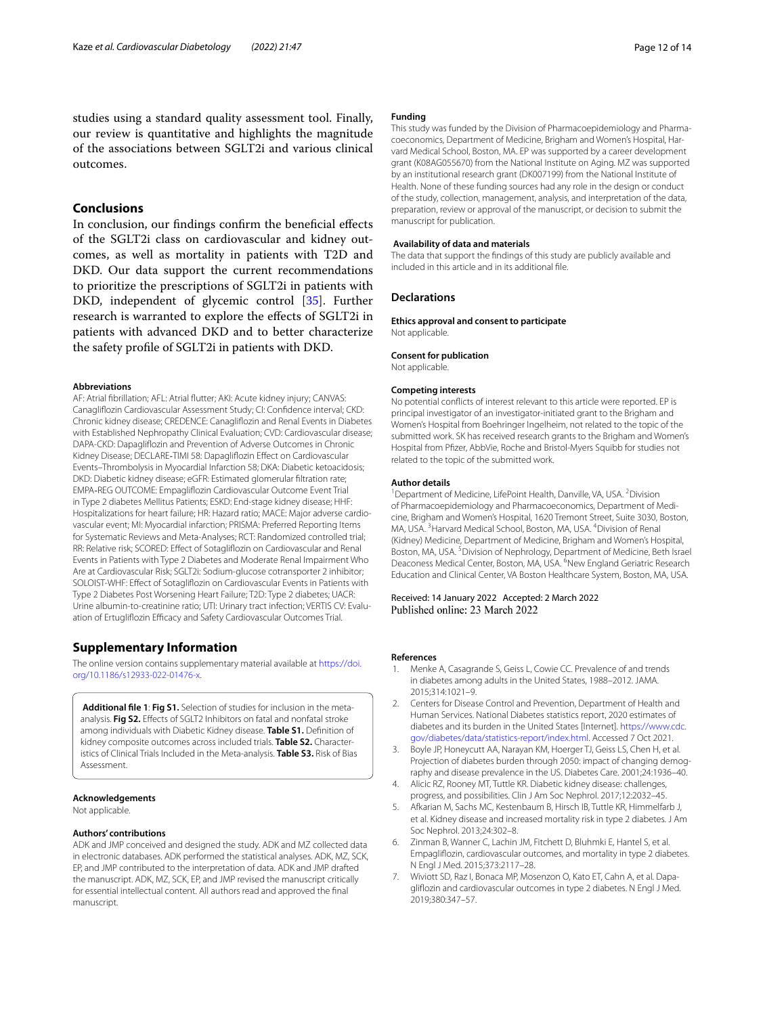studies using a standard quality assessment tool. Finally, our review is quantitative and highlights the magnitude of the associations between SGLT2i and various clinical outcomes.

## **Conclusions**

In conclusion, our fndings confrm the benefcial efects of the SGLT2i class on cardiovascular and kidney outcomes, as well as mortality in patients with T2D and DKD. Our data support the current recommendations to prioritize the prescriptions of SGLT2i in patients with DKD, independent of glycemic control [\[35](#page-12-22)]. Further research is warranted to explore the efects of SGLT2i in patients with advanced DKD and to better characterize the safety profle of SGLT2i in patients with DKD.

#### **Abbreviations**

AF: Atrial fbrillation; AFL: Atrial futter; AKI: Acute kidney injury; CANVAS: Canaglifozin Cardiovascular Assessment Study; CI: Confdence interval; CKD: Chronic kidney disease; CREDENCE: Canaglifozin and Renal Events in Diabetes with Established Nephropathy Clinical Evaluation; CVD: Cardiovascular disease; DAPA-CKD: Dapaglifozin and Prevention of Adverse Outcomes in Chronic Kidney Disease; DECLARE-TIMI 58: Dapagliflozin Effect on Cardiovascular Events–Thrombolysis in Myocardial Infarction 58; DKA: Diabetic ketoacidosis; DKD: Diabetic kidney disease; eGFR: Estimated glomerular fltration rate; EMPA‐REG OUTCOME: Empaglifozin Cardiovascular Outcome Event Trial in Type 2 diabetes Mellitus Patients; ESKD: End-stage kidney disease; HHF: Hospitalizations for heart failure; HR: Hazard ratio; MACE: Major adverse cardiovascular event; MI: Myocardial infarction; PRISMA: Preferred Reporting Items for Systematic Reviews and Meta-Analyses; RCT: Randomized controlled trial; RR: Relative risk; SCORED: Efect of Sotaglifozin on Cardiovascular and Renal Events in Patients with Type 2 Diabetes and Moderate Renal Impairment Who Are at Cardiovascular Risk; SGLT2i: Sodium-glucose cotransporter 2 inhibitor; SOLOIST-WHF: Efect of Sotaglifozin on Cardiovascular Events in Patients with Type 2 Diabetes Post Worsening Heart Failure; T2D: Type 2 diabetes; UACR: Urine albumin-to-creatinine ratio; UTI: Urinary tract infection; VERTIS CV: Evaluation of Ertugliflozin Efficacy and Safety Cardiovascular Outcomes Trial.

## **Supplementary Information**

The online version contains supplementary material available at [https://doi.](https://doi.org/10.1186/s12933-022-01476-x) [org/10.1186/s12933-022-01476-x.](https://doi.org/10.1186/s12933-022-01476-x)

<span id="page-11-7"></span>**Additional fle 1**: **Fig S1.** Selection of studies for inclusion in the metaanalysis. **Fig S2.** Efects of SGLT2 Inhibitors on fatal and nonfatal stroke among individuals with Diabetic Kidney disease. **Table S1.** Defnition of kidney composite outcomes across included trials. **Table S2.** Characteristics of Clinical Trials Included in the Meta-analysis. **Table S3.** Risk of Bias Assessment.

#### **Acknowledgements**

Not applicable.

#### **Authors' contributions**

ADK and JMP conceived and designed the study. ADK and MZ collected data in electronic databases. ADK performed the statistical analyses. ADK, MZ, SCK, EP, and JMP contributed to the interpretation of data. ADK and JMP drafted the manuscript. ADK, MZ, SCK, EP, and JMP revised the manuscript critically for essential intellectual content. All authors read and approved the fnal manuscript.

This study was funded by the Division of Pharmacoepidemiology and Pharmacoeconomics, Department of Medicine, Brigham and Women's Hospital, Harvard Medical School, Boston, MA. EP was supported by a career development grant (K08AG055670) from the National Institute on Aging. MZ was supported by an institutional research grant (DK007199) from the National Institute of Health. None of these funding sources had any role in the design or conduct of the study, collection, management, analysis, and interpretation of the data, preparation, review or approval of the manuscript, or decision to submit the manuscript for publication.

#### **Availability of data and materials**

The data that support the fndings of this study are publicly available and included in this article and in its additional fle.

#### **Declarations**

**Ethics approval and consent to participate** Not applicable.

#### **Consent for publication**

Not applicable.

#### **Competing interests**

No potential conficts of interest relevant to this article were reported. EP is principal investigator of an investigator-initiated grant to the Brigham and Women's Hospital from Boehringer Ingelheim, not related to the topic of the submitted work. SK has received research grants to the Brigham and Women's Hospital from Pfzer, AbbVie, Roche and Bristol-Myers Squibb for studies not related to the topic of the submitted work.

#### **Author details**

<sup>1</sup> Department of Medicine, LifePoint Health, Danville, VA, USA. <sup>2</sup> Division of Pharmacoepidemiology and Pharmacoeconomics, Department of Medicine, Brigham and Women's Hospital, 1620 Tremont Street, Suite 3030, Boston, MA, USA.<sup>3</sup> Harvard Medical School, Boston, MA, USA.<sup>4</sup> Division of Renal (Kidney) Medicine, Department of Medicine, Brigham and Women's Hospital, Boston, MA, USA.<sup>5</sup> Division of Nephrology, Department of Medicine, Beth Israel Deaconess Medical Center, Boston, MA, USA. <sup>6</sup>New England Geriatric Research Education and Clinical Center, VA Boston Healthcare System, Boston, MA, USA.

Received: 14 January 2022 Accepted: 2 March 2022<br>Published online: 23 March 2022

#### **References**

- <span id="page-11-0"></span>Menke A, Casagrande S, Geiss L, Cowie CC. Prevalence of and trends in diabetes among adults in the United States, 1988–2012. JAMA. 2015;314:1021–9.
- <span id="page-11-1"></span>2. Centers for Disease Control and Prevention, Department of Health and Human Services. National Diabetes statistics report, 2020 estimates of diabetes and its burden in the United States [Internet]. [https://www.cdc.](https://www.cdc.gov/diabetes/data/statistics-report/index.html) [gov/diabetes/data/statistics-report/index.html](https://www.cdc.gov/diabetes/data/statistics-report/index.html). Accessed 7 Oct 2021.
- <span id="page-11-2"></span>3. Boyle JP, Honeycutt AA, Narayan KM, Hoerger TJ, Geiss LS, Chen H, et al. Projection of diabetes burden through 2050: impact of changing demography and disease prevalence in the US. Diabetes Care. 2001;24:1936–40.
- <span id="page-11-3"></span>4. Alicic RZ, Rooney MT, Tuttle KR. Diabetic kidney disease: challenges, progress, and possibilities. Clin J Am Soc Nephrol. 2017;12:2032–45.
- <span id="page-11-4"></span>5. Afkarian M, Sachs MC, Kestenbaum B, Hirsch IB, Tuttle KR, Himmelfarb J, et al. Kidney disease and increased mortality risk in type 2 diabetes. J Am Soc Nephrol. 2013;24:302–8.
- <span id="page-11-5"></span>6. Zinman B, Wanner C, Lachin JM, Fitchett D, Bluhmki E, Hantel S, et al. Empaglifozin, cardiovascular outcomes, and mortality in type 2 diabetes. N Engl J Med. 2015;373:2117–28.
- <span id="page-11-6"></span>7. Wiviott SD, Raz I, Bonaca MP, Mosenzon O, Kato ET, Cahn A, et al. Dapaglifozin and cardiovascular outcomes in type 2 diabetes. N Engl J Med. 2019;380:347–57.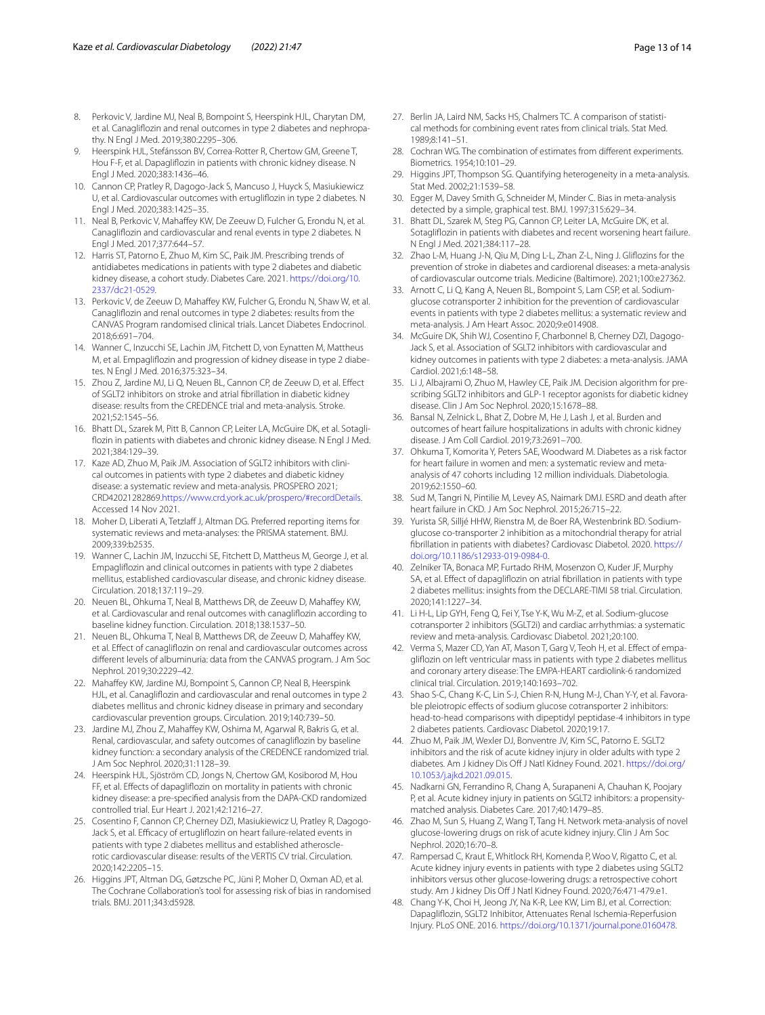- <span id="page-12-16"></span>8. Perkovic V, Jardine MJ, Neal B, Bompoint S, Heerspink HJL, Charytan DM, et al. Canaglifozin and renal outcomes in type 2 diabetes and nephropathy. N Engl J Med. 2019;380:2295–306.
- <span id="page-12-17"></span>9. Heerspink HJL, Stefánsson BV, Correa-Rotter R, Chertow GM, Greene T, Hou F-F, et al. Dapaglifozin in patients with chronic kidney disease. N Engl J Med. 2020;383:1436–46.
- <span id="page-12-5"></span>10. Cannon CP, Pratley R, Dagogo-Jack S, Mancuso J, Huyck S, Masiukiewicz U, et al. Cardiovascular outcomes with ertuglifozin in type 2 diabetes. N Engl J Med. 2020;383:1425–35.
- <span id="page-12-0"></span>11. Neal B, Perkovic V, Mahaffey KW, De Zeeuw D, Fulcher G, Erondu N, et al. Canaglifozin and cardiovascular and renal events in type 2 diabetes. N Engl J Med. 2017;377:644–57.
- <span id="page-12-1"></span>12. Harris ST, Patorno E, Zhuo M, Kim SC, Paik JM. Prescribing trends of antidiabetes medications in patients with type 2 diabetes and diabetic kidney disease, a cohort study. Diabetes Care. 2021. [https://doi.org/10.](https://doi.org/10.2337/dc21-0529) [2337/dc21-0529.](https://doi.org/10.2337/dc21-0529)
- <span id="page-12-2"></span>13. Perkovic V, de Zeeuw D, Mahaffey KW, Fulcher G, Erondu N, Shaw W, et al. Canaglifozin and renal outcomes in type 2 diabetes: results from the CANVAS Program randomised clinical trials. Lancet Diabetes Endocrinol. 2018;6:691–704.
- <span id="page-12-3"></span>14. Wanner C, Inzucchi SE, Lachin JM, Fitchett D, von Eynatten M, Mattheus M, et al. Empaglifozin and progression of kidney disease in type 2 diabetes. N Engl J Med. 2016;375:323–34.
- <span id="page-12-4"></span>15. Zhou Z, Jardine MJ, Li Q, Neuen BL, Cannon CP, de Zeeuw D, et al. Efect of SGLT2 inhibitors on stroke and atrial fbrillation in diabetic kidney disease: results from the CREDENCE trial and meta-analysis. Stroke. 2021;52:1545–56.
- <span id="page-12-6"></span>16. Bhatt DL, Szarek M, Pitt B, Cannon CP, Leiter LA, McGuire DK, et al. Sotaglifozin in patients with diabetes and chronic kidney disease. N Engl J Med. 2021;384:129–39.
- <span id="page-12-7"></span>17. Kaze AD, Zhuo M, Paik JM. Association of SGLT2 inhibitors with clinical outcomes in patients with type 2 diabetes and diabetic kidney disease: a systematic review and meta-analysis. PROSPERO 2021; CRD42021282869[.https://www.crd.york.ac.uk/prospero/#recordDetails.](https://www.crd.york.ac.uk/prospero/#recordDetails) Accessed 14 Nov 2021.
- <span id="page-12-8"></span>18. Moher D, Liberati A, Tetzlaff J, Altman DG. Preferred reporting items for systematic reviews and meta-analyses: the PRISMA statement. BMJ. 2009;339:b2535.
- <span id="page-12-9"></span>19. Wanner C, Lachin JM, Inzucchi SE, Fitchett D, Mattheus M, George J, et al. Empaglifozin and clinical outcomes in patients with type 2 diabetes mellitus, established cardiovascular disease, and chronic kidney disease. Circulation. 2018;137:119–29.
- 20. Neuen BL, Ohkuma T, Neal B, Matthews DR, de Zeeuw D, Mahafey KW, et al. Cardiovascular and renal outcomes with canaglifozin according to baseline kidney function. Circulation. 2018;138:1537–50.
- 21. Neuen BL, Ohkuma T, Neal B, Matthews DR, de Zeeuw D, Mahafey KW, et al. Efect of canaglifozin on renal and cardiovascular outcomes across diferent levels of albuminuria: data from the CANVAS program. J Am Soc Nephrol. 2019;30:2229–42.
- 22. Mahaffey KW, Jardine MJ, Bompoint S, Cannon CP, Neal B, Heerspink HJL, et al. Canaglifozin and cardiovascular and renal outcomes in type 2 diabetes mellitus and chronic kidney disease in primary and secondary cardiovascular prevention groups. Circulation. 2019;140:739–50.
- 23. Jardine MJ, Zhou Z, Mahafey KW, Oshima M, Agarwal R, Bakris G, et al. Renal, cardiovascular, and safety outcomes of canaglifozin by baseline kidney function: a secondary analysis of the CREDENCE randomized trial. J Am Soc Nephrol. 2020;31:1128–39.
- 24. Heerspink HJL, Sjöström CD, Jongs N, Chertow GM, Kosiborod M, Hou FF, et al. Efects of dapaglifozin on mortality in patients with chronic kidney disease: a pre-specifed analysis from the DAPA-CKD randomized controlled trial. Eur Heart J. 2021;42:1216–27.
- <span id="page-12-10"></span>25. Cosentino F, Cannon CP, Cherney DZI, Masiukiewicz U, Pratley R, Dagogo-Jack S, et al. Efficacy of ertugliflozin on heart failure-related events in patients with type 2 diabetes mellitus and established atherosclerotic cardiovascular disease: results of the VERTIS CV trial. Circulation. 2020;142:2205–15.
- <span id="page-12-11"></span>26. Higgins JPT, Altman DG, Gøtzsche PC, Jüni P, Moher D, Oxman AD, et al. The Cochrane Collaboration's tool for assessing risk of bias in randomised trials. BMJ. 2011;343:d5928.
- <span id="page-12-12"></span>27. Berlin JA, Laird NM, Sacks HS, Chalmers TC. A comparison of statistical methods for combining event rates from clinical trials. Stat Med. 1989;8:141–51.
- <span id="page-12-13"></span>28. Cochran WG. The combination of estimates from diferent experiments. Biometrics. 1954;10:101–29.
- <span id="page-12-14"></span>29. Higgins JPT, Thompson SG. Quantifying heterogeneity in a meta-analysis. Stat Med. 2002;21:1539–58.
- <span id="page-12-15"></span>30. Egger M, Davey Smith G, Schneider M, Minder C. Bias in meta-analysis detected by a simple, graphical test. BMJ. 1997;315:629–34.
- <span id="page-12-18"></span>31. Bhatt DL, Szarek M, Steg PG, Cannon CP, Leiter LA, McGuire DK, et al. Sotaglifozin in patients with diabetes and recent worsening heart failure. N Engl J Med. 2021;384:117–28.
- <span id="page-12-19"></span>32. Zhao L-M, Huang J-N, Qiu M, Ding L-L, Zhan Z-L, Ning J. Glifozins for the prevention of stroke in diabetes and cardiorenal diseases: a meta-analysis of cardiovascular outcome trials. Medicine (Baltimore). 2021;100:e27362.
- <span id="page-12-20"></span>33. Arnott C, Li Q, Kang A, Neuen BL, Bompoint S, Lam CSP, et al. Sodiumglucose cotransporter 2 inhibition for the prevention of cardiovascular events in patients with type 2 diabetes mellitus: a systematic review and meta-analysis. J Am Heart Assoc. 2020;9:e014908.
- <span id="page-12-21"></span>34. McGuire DK, Shih WJ, Cosentino F, Charbonnel B, Cherney DZI, Dagogo-Jack S, et al. Association of SGLT2 inhibitors with cardiovascular and kidney outcomes in patients with type 2 diabetes: a meta-analysis. JAMA Cardiol. 2021;6:148–58.
- <span id="page-12-22"></span>35. Li J, Albajrami O, Zhuo M, Hawley CE, Paik JM. Decision algorithm for prescribing SGLT2 inhibitors and GLP-1 receptor agonists for diabetic kidney disease. Clin J Am Soc Nephrol. 2020;15:1678–88.
- <span id="page-12-23"></span>36. Bansal N, Zelnick L, Bhat Z, Dobre M, He J, Lash J, et al. Burden and outcomes of heart failure hospitalizations in adults with chronic kidney disease. J Am Coll Cardiol. 2019;73:2691–700.
- <span id="page-12-24"></span>37. Ohkuma T, Komorita Y, Peters SAE, Woodward M. Diabetes as a risk factor for heart failure in women and men: a systematic review and metaanalysis of 47 cohorts including 12 million individuals. Diabetologia. 2019;62:1550–60.
- <span id="page-12-25"></span>38. Sud M, Tangri N, Pintilie M, Levey AS, Naimark DMJ. ESRD and death after heart failure in CKD. J Am Soc Nephrol. 2015;26:715–22.
- <span id="page-12-26"></span>39. Yurista SR, Silljé HHW, Rienstra M, de Boer RA, Westenbrink BD. Sodiumglucose co-transporter 2 inhibition as a mitochondrial therapy for atrial fbrillation in patients with diabetes? Cardiovasc Diabetol. 2020. [https://](https://doi.org/10.1186/s12933-019-0984-0) [doi.org/10.1186/s12933-019-0984-0](https://doi.org/10.1186/s12933-019-0984-0).
- <span id="page-12-27"></span>40. Zelniker TA, Bonaca MP, Furtado RHM, Mosenzon O, Kuder JF, Murphy SA, et al. Effect of dapagliflozin on atrial fibrillation in patients with type 2 diabetes mellitus: insights from the DECLARE-TIMI 58 trial. Circulation. 2020;141:1227–34.
- <span id="page-12-28"></span>41. Li H-L, Lip GYH, Feng Q, Fei Y, Tse Y-K, Wu M-Z, et al. Sodium-glucose cotransporter 2 inhibitors (SGLT2i) and cardiac arrhythmias: a systematic review and meta-analysis. Cardiovasc Diabetol. 2021;20:100.
- <span id="page-12-29"></span>42. Verma S, Mazer CD, Yan AT, Mason T, Garg V, Teoh H, et al. Effect of empaglifozin on left ventricular mass in patients with type 2 diabetes mellitus and coronary artery disease: The EMPA-HEART cardiolink-6 randomized clinical trial. Circulation. 2019;140:1693–702.
- <span id="page-12-30"></span>43. Shao S-C, Chang K-C, Lin S-J, Chien R-N, Hung M-J, Chan Y-Y, et al. Favorable pleiotropic effects of sodium glucose cotransporter 2 inhibitors: head-to-head comparisons with dipeptidyl peptidase-4 inhibitors in type 2 diabetes patients. Cardiovasc Diabetol. 2020;19:17.
- <span id="page-12-31"></span>44. Zhuo M, Paik JM, Wexler DJ, Bonventre JV, Kim SC, Patorno E. SGLT2 inhibitors and the risk of acute kidney injury in older adults with type 2 diabetes. Am J kidney Dis Off J Natl Kidney Found. 2021. [https://doi.org/](https://doi.org/10.1053/j.ajkd.2021.09.015) [10.1053/j.ajkd.2021.09.015.](https://doi.org/10.1053/j.ajkd.2021.09.015)
- 45. Nadkarni GN, Ferrandino R, Chang A, Surapaneni A, Chauhan K, Poojary P, et al. Acute kidney injury in patients on SGLT2 inhibitors: a propensitymatched analysis. Diabetes Care. 2017;40:1479–85.
- 46. Zhao M, Sun S, Huang Z, Wang T, Tang H. Network meta-analysis of novel glucose-lowering drugs on risk of acute kidney injury. Clin J Am Soc Nephrol. 2020;16:70–8.
- <span id="page-12-32"></span>47. Rampersad C, Kraut E, Whitlock RH, Komenda P, Woo V, Rigatto C, et al. Acute kidney injury events in patients with type 2 diabetes using SGLT2 inhibitors versus other glucose-lowering drugs: a retrospective cohort study. Am J kidney Dis Off J Natl Kidney Found. 2020;76:471-479.e1.
- <span id="page-12-33"></span>48. Chang Y-K, Choi H, Jeong JY, Na K-R, Lee KW, Lim BJ, et al. Correction: Dapaglifozin, SGLT2 Inhibitor, Attenuates Renal Ischemia-Reperfusion Injury. PLoS ONE. 2016. [https://doi.org/10.1371/journal.pone.0160478.](https://doi.org/10.1371/journal.pone.0160478)